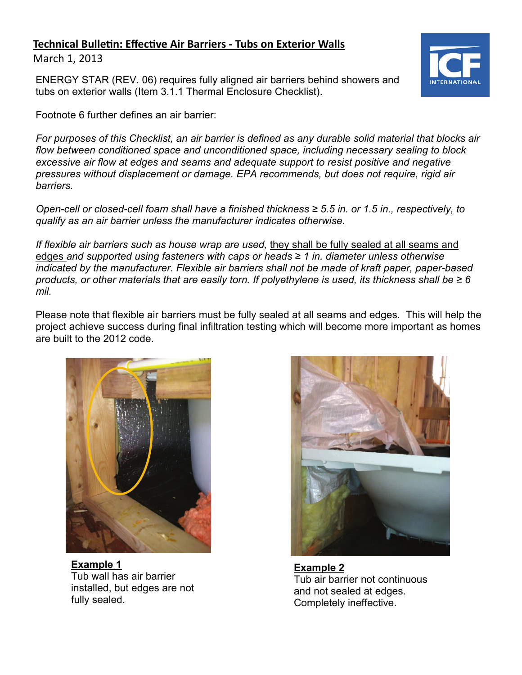## **Technical BulleƟn: EffecƟve Air Barriers ‐ Tubs on Exterior Walls**

March 1, 2013

ENERGY STAR (REV. 06) requires fully aligned air barriers behind showers and tubs on exterior walls (Item 3.1.1 Thermal Enclosure Checklist).

Footnote 6 further defines an air barrier:

*For purposes of this Checklist, an air barrier is defined as any durable solid material that blocks air flow between conditioned space and unconditioned space, including necessary sealing to block excessive air flow at edges and seams and adequate support to resist positive and negative pressures without displacement or damage. EPA recommends, but does not require, rigid air barriers.* 

*Open-cell or closed-cell foam shall have a finished thickness ≥ 5.5 in. or 1.5 in., respectively, to qualify as an air barrier unless the manufacturer indicates otherwise.* 

*If flexible air barriers such as house wrap are used,* they shall be fully sealed at all seams and edges *and supported using fasteners with caps or heads ≥ 1 in. diameter unless otherwise indicated by the manufacturer. Flexible air barriers shall not be made of kraft paper, paper-based products, or other materials that are easily torn. If polyethylene is used, its thickness shall be ≥ 6 mil.* 

Please note that flexible air barriers must be fully sealed at all seams and edges. This will help the project achieve success during final infiltration testing which will become more important as homes are built to the 2012 code.



**Example 1**  Tub wall has air barrier installed, but edges are not fully sealed.



**Example 2**  Tub air barrier not continuous and not sealed at edges. Completely ineffective.